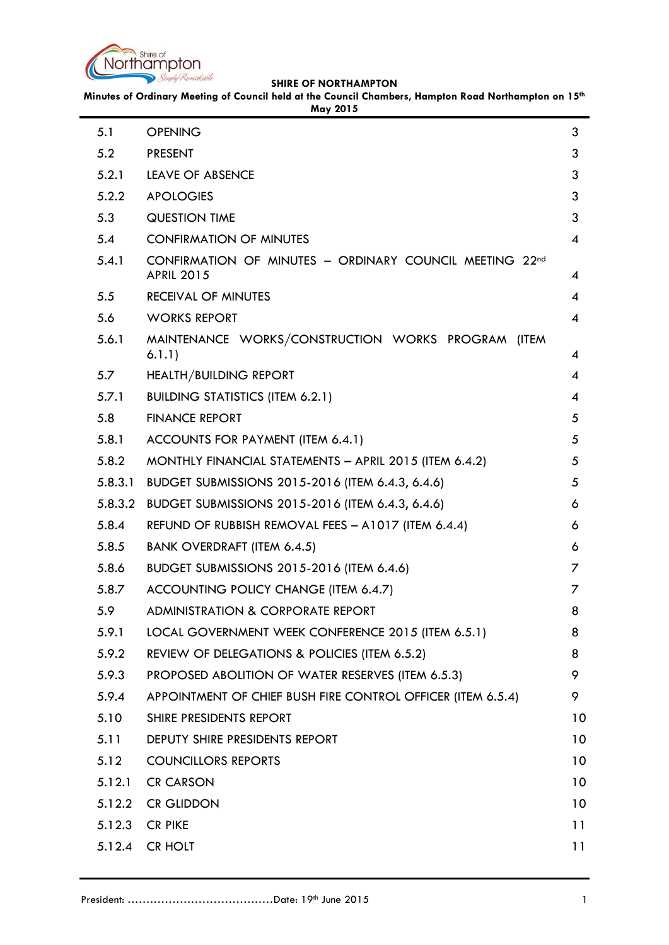

**Minutes of Ordinary Meeting of Council held at the Council Chambers, Hampton Road Northampton on 15th May 2015**

|         | May 2015                                                                     |                 |
|---------|------------------------------------------------------------------------------|-----------------|
| 5.1     | <b>OPENING</b>                                                               | 3               |
| 5.2     | <b>PRESENT</b>                                                               | 3               |
| 5.2.1   | <b>LEAVE OF ABSENCE</b>                                                      | 3               |
| 5.2.2   | <b>APOLOGIES</b>                                                             | 3               |
| 5.3     | <b>QUESTION TIME</b>                                                         | 3               |
| 5.4     | <b>CONFIRMATION OF MINUTES</b>                                               | 4               |
| 5.4.1   | CONFIRMATION OF MINUTES - ORDINARY COUNCIL MEETING 22nd<br><b>APRIL 2015</b> | 4               |
| 5.5     | <b>RECEIVAL OF MINUTES</b>                                                   | 4               |
| 5.6     | <b>WORKS REPORT</b>                                                          | 4               |
| 5.6.1   | MAINTENANCE WORKS/CONSTRUCTION WORKS PROGRAM (ITEM<br>6.1.1)                 | 4               |
| 5.7     | HEALTH/BUILDING REPORT                                                       | 4               |
| 5.7.1   | <b>BUILDING STATISTICS (ITEM 6.2.1)</b>                                      | $\overline{4}$  |
| 5.8     | <b>FINANCE REPORT</b>                                                        | 5               |
| 5.8.1   | ACCOUNTS FOR PAYMENT (ITEM 6.4.1)                                            | 5               |
| 5.8.2   | MONTHLY FINANCIAL STATEMENTS - APRIL 2015 (ITEM 6.4.2)                       | 5               |
| 5.8.3.1 | BUDGET SUBMISSIONS 2015-2016 (ITEM 6.4.3, 6.4.6)                             | 5               |
| 5.8.3.2 | BUDGET SUBMISSIONS 2015-2016 (ITEM 6.4.3, 6.4.6)                             | 6               |
| 5.8.4   | REFUND OF RUBBISH REMOVAL FEES - A1017 (ITEM 6.4.4)                          | 6               |
| 5.8.5   | <b>BANK OVERDRAFT (ITEM 6.4.5)</b>                                           | 6               |
| 5.8.6   | BUDGET SUBMISSIONS 2015-2016 (ITEM 6.4.6)                                    | 7               |
| 5.8.7   | ACCOUNTING POLICY CHANGE (ITEM 6.4.7)                                        | 7               |
| 5.9     | ADMINISTRATION & CORPORATE REPORT                                            | 8               |
| 5.9.1   | LOCAL GOVERNMENT WEEK CONFERENCE 2015 (ITEM 6.5.1)                           | 8               |
| 5.9.2   | REVIEW OF DELEGATIONS & POLICIES (ITEM 6.5.2)                                | 8               |
| 5.9.3   | PROPOSED ABOLITION OF WATER RESERVES (ITEM 6.5.3)                            | 9               |
| 5.9.4   | APPOINTMENT OF CHIEF BUSH FIRE CONTROL OFFICER (ITEM 6.5.4)                  | 9               |
| 5.10    | SHIRE PRESIDENTS REPORT                                                      | 10              |
| 5.11    | DEPUTY SHIRE PRESIDENTS REPORT                                               | 10 <sup>°</sup> |
| 5.12    | <b>COUNCILLORS REPORTS</b>                                                   | 10 <sup>°</sup> |
| 5.12.1  | <b>CR CARSON</b>                                                             | 10 <sup>°</sup> |
| 5.12.2  | <b>CR GLIDDON</b>                                                            | 10 <sup>°</sup> |
| 5.12.3  | <b>CR PIKE</b>                                                               | 11              |
| 5.12.4  | CR HOLT                                                                      | 11              |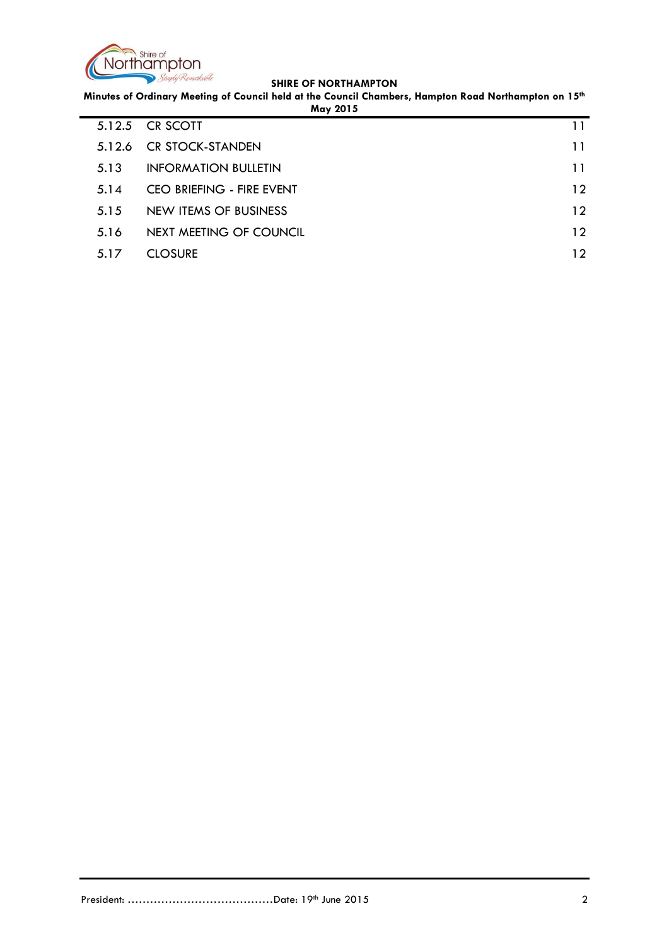

**Minutes of Ordinary Meeting of Council held at the Council Chambers, Hampton Road Northampton on 15th May 2015**

| May 2015 |                             |                 |
|----------|-----------------------------|-----------------|
|          | 5.12.5 CR SCOTT             | 11              |
| 5.12.6   | <b>CR STOCK-STANDEN</b>     | 11              |
| 5.13     | <b>INFORMATION BULLETIN</b> | 11              |
| 5.14     | CEO BRIEFING - FIRE EVENT   | $12 \ \mathrm{$ |
| 5.15     | NEW ITEMS OF BUSINESS       | $12 \ \mathrm{$ |
| 5.16     | NEXT MEETING OF COUNCIL     | $12 \ \mathrm{$ |
| 5.17     | <b>CLOSURE</b>              | $12^{\circ}$    |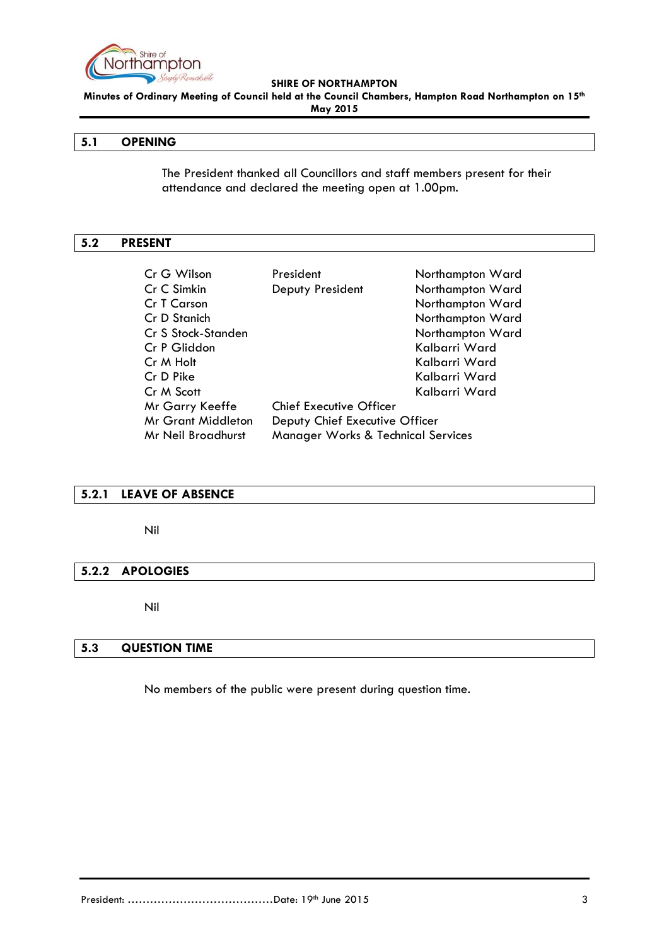

**Minutes of Ordinary Meeting of Council held at the Council Chambers, Hampton Road Northampton on 15th May 2015**

## <span id="page-2-0"></span>**5.1 OPENING**

The President thanked all Councillors and staff members present for their attendance and declared the meeting open at 1.00pm.

#### <span id="page-2-1"></span>**5.2 PRESENT**

| Cr G Wilson               | President                                     | Northampton Ward |
|---------------------------|-----------------------------------------------|------------------|
| Cr C Simkin               | Deputy President                              | Northampton Ward |
| Cr T Carson               |                                               | Northampton Ward |
| Cr D Stanich              |                                               | Northampton Ward |
| Cr S Stock-Standen        |                                               | Northampton Ward |
| Cr P Gliddon              |                                               | Kalbarri Ward    |
| Cr M Holt                 |                                               | Kalbarri Ward    |
| Cr D Pike                 |                                               | Kalbarri Ward    |
| Cr M Scott                |                                               | Kalbarri Ward    |
| Mr Garry Keeffe           | <b>Chief Executive Officer</b>                |                  |
| <b>Mr Grant Middleton</b> | Deputy Chief Executive Officer                |                  |
| Mr Neil Broadhurst        | <b>Manager Works &amp; Technical Services</b> |                  |

# <span id="page-2-2"></span>**5.2.1 LEAVE OF ABSENCE**

Nil

## <span id="page-2-3"></span>**5.2.2 APOLOGIES**

Nil

# <span id="page-2-4"></span>**5.3 QUESTION TIME**

No members of the public were present during question time.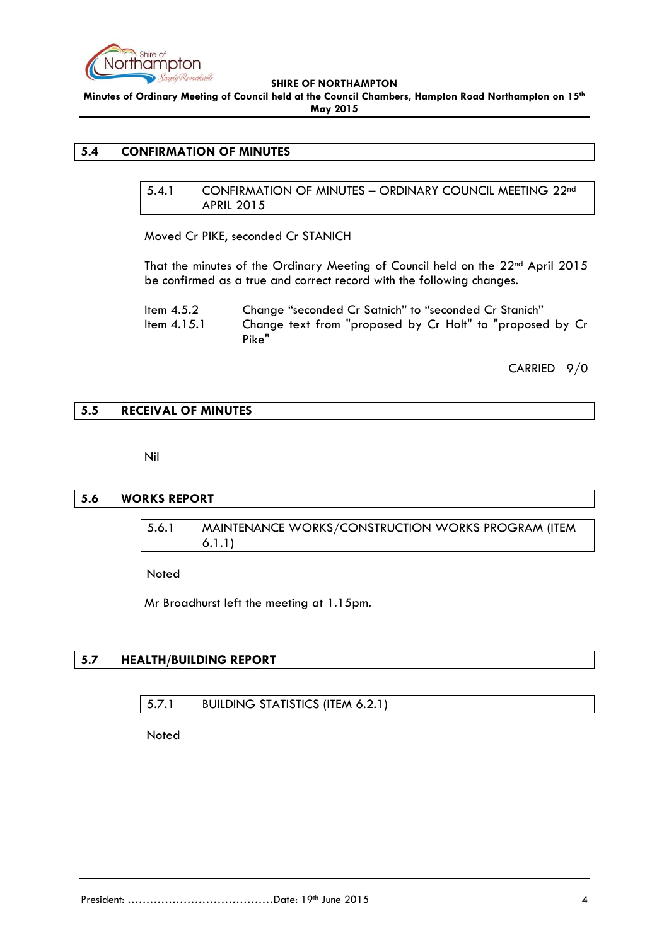

**Minutes of Ordinary Meeting of Council held at the Council Chambers, Hampton Road Northampton on 15th May 2015**

## <span id="page-3-1"></span><span id="page-3-0"></span>**5.4 CONFIRMATION OF MINUTES**

5.4.1 CONFIRMATION OF MINUTES – ORDINARY COUNCIL MEETING 22nd APRIL 2015

Moved Cr PIKE, seconded Cr STANICH

That the minutes of the Ordinary Meeting of Council held on the 22<sup>nd</sup> April 2015 be confirmed as a true and correct record with the following changes.

| Item $4.5.2$  | Change "seconded Cr Satnich" to "seconded Cr Stanich"              |
|---------------|--------------------------------------------------------------------|
| Item $4.15.1$ | Change text from "proposed by Cr Holt" to "proposed by Cr<br>Pike" |

CARRIED 9/0

# <span id="page-3-2"></span>**5.5 RECEIVAL OF MINUTES**

Nil

## <span id="page-3-4"></span><span id="page-3-3"></span>**5.6 WORKS REPORT**

5.6.1 MAINTENANCE WORKS/CONSTRUCTION WORKS PROGRAM (ITEM 6.1.1)

**Noted** 

Mr Broadhurst left the meeting at 1.15pm.

## <span id="page-3-6"></span><span id="page-3-5"></span>**5.7 HEALTH/BUILDING REPORT**

5.7.1 BUILDING STATISTICS (ITEM 6.2.1)

Noted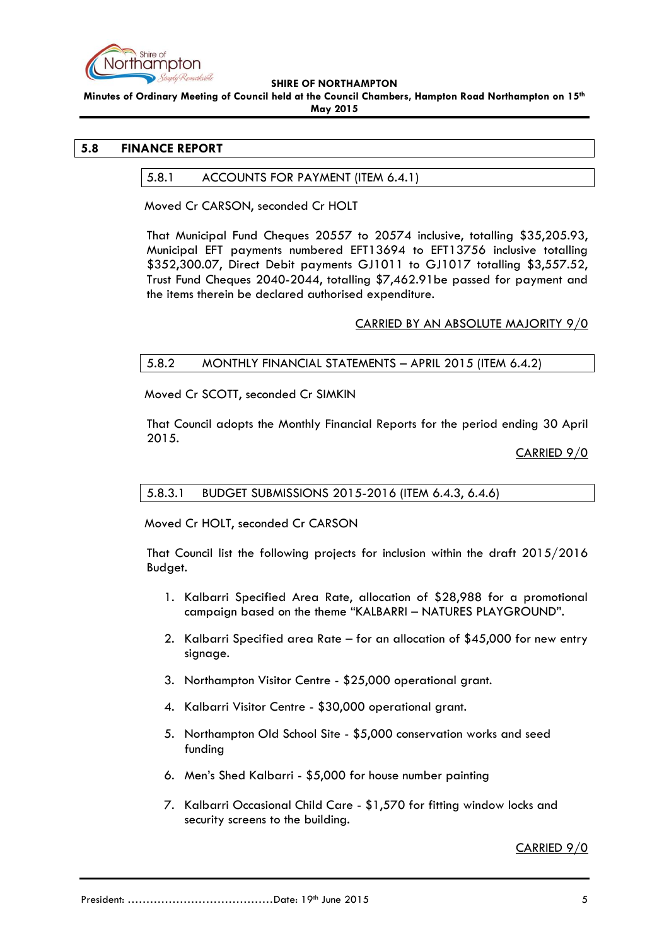

**Minutes of Ordinary Meeting of Council held at the Council Chambers, Hampton Road Northampton on 15th May 2015**

## <span id="page-4-1"></span><span id="page-4-0"></span>**5.8 FINANCE REPORT**

## 5.8.1 ACCOUNTS FOR PAYMENT (ITEM 6.4.1)

Moved Cr CARSON, seconded Cr HOLT

That Municipal Fund Cheques 20557 to 20574 inclusive, totalling \$35,205.93, Municipal EFT payments numbered EFT13694 to EFT13756 inclusive totalling \$352,300.07, Direct Debit payments GJ1011 to GJ1017 totalling \$3,557.52, Trust Fund Cheques 2040-2044, totalling \$7,462.91be passed for payment and the items therein be declared authorised expenditure.

# CARRIED BY AN ABSOLUTE MAJORITY 9/0

# <span id="page-4-2"></span>5.8.2 MONTHLY FINANCIAL STATEMENTS – APRIL 2015 (ITEM 6.4.2)

Moved Cr SCOTT, seconded Cr SIMKIN

That Council adopts the Monthly Financial Reports for the period ending 30 April 2015.

CARRIED 9/0

<span id="page-4-3"></span>5.8.3.1 BUDGET SUBMISSIONS 2015-2016 (ITEM 6.4.3, 6.4.6)

Moved Cr HOLT, seconded Cr CARSON

That Council list the following projects for inclusion within the draft 2015/2016 Budget.

- 1. Kalbarri Specified Area Rate, allocation of \$28,988 for a promotional campaign based on the theme "KALBARRI – NATURES PLAYGROUND".
- 2. Kalbarri Specified area Rate for an allocation of \$45,000 for new entry signage.
- 3. Northampton Visitor Centre \$25,000 operational grant.
- 4. Kalbarri Visitor Centre \$30,000 operational grant.
- 5. Northampton Old School Site \$5,000 conservation works and seed funding
- 6. Men's Shed Kalbarri \$5,000 for house number painting
- 7. Kalbarri Occasional Child Care \$1,570 for fitting window locks and security screens to the building.

CARRIED 9/0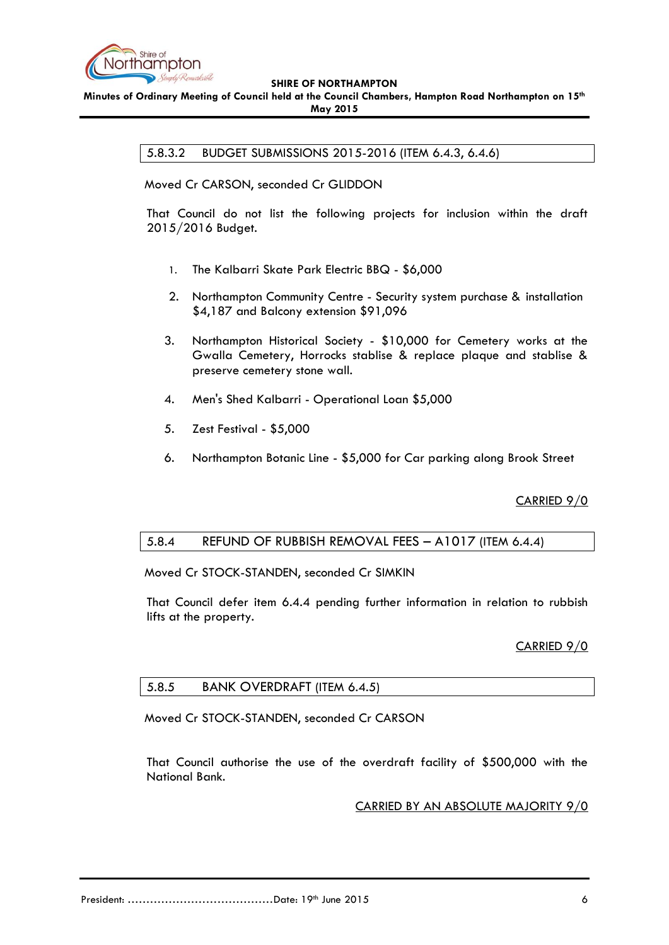

<span id="page-5-0"></span>**Minutes of Ordinary Meeting of Council held at the Council Chambers, Hampton Road Northampton on 15th May 2015**

5.8.3.2 BUDGET SUBMISSIONS 2015-2016 (ITEM 6.4.3, 6.4.6)

Moved Cr CARSON, seconded Cr GLIDDON

That Council do not list the following projects for inclusion within the draft 2015/2016 Budget.

- 1. The Kalbarri Skate Park Electric BBQ \$6,000
- 2. Northampton Community Centre Security system purchase & installation \$4,187 and Balcony extension \$91,096
- 3. Northampton Historical Society \$10,000 for Cemetery works at the Gwalla Cemetery, Horrocks stablise & replace plaque and stablise & preserve cemetery stone wall.
- 4. Men's Shed Kalbarri Operational Loan \$5,000
- 5. Zest Festival \$5,000
- 6. Northampton Botanic Line \$5,000 for Car parking along Brook Street

CARRIED 9/0

# <span id="page-5-1"></span>5.8.4 REFUND OF RUBBISH REMOVAL FEES – A1017 (ITEM 6.4.4)

Moved Cr STOCK-STANDEN, seconded Cr SIMKIN

That Council defer item 6.4.4 pending further information in relation to rubbish lifts at the property.

## CARRIED 9/0

## <span id="page-5-2"></span>5.8.5 BANK OVERDRAFT (ITEM 6.4.5)

Moved Cr STOCK-STANDEN, seconded Cr CARSON

That Council authorise the use of the overdraft facility of \$500,000 with the National Bank.

CARRIED BY AN ABSOLUTE MAJORITY 9/0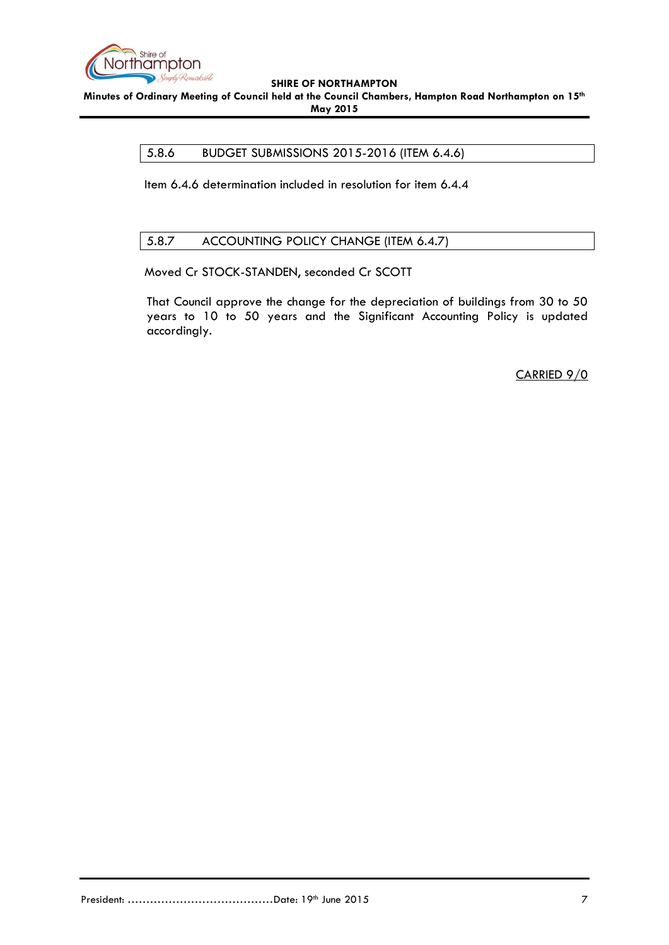

<span id="page-6-0"></span>**Minutes of Ordinary Meeting of Council held at the Council Chambers, Hampton Road Northampton on 15th May 2015**

## 5.8.6 BUDGET SUBMISSIONS 2015-2016 (ITEM 6.4.6)

Item 6.4.6 determination included in resolution for item 6.4.4

# <span id="page-6-1"></span>5.8.7 ACCOUNTING POLICY CHANGE (ITEM 6.4.7)

Moved Cr STOCK-STANDEN, seconded Cr SCOTT

That Council approve the change for the depreciation of buildings from 30 to 50 years to 10 to 50 years and the Significant Accounting Policy is updated accordingly.

CARRIED 9/0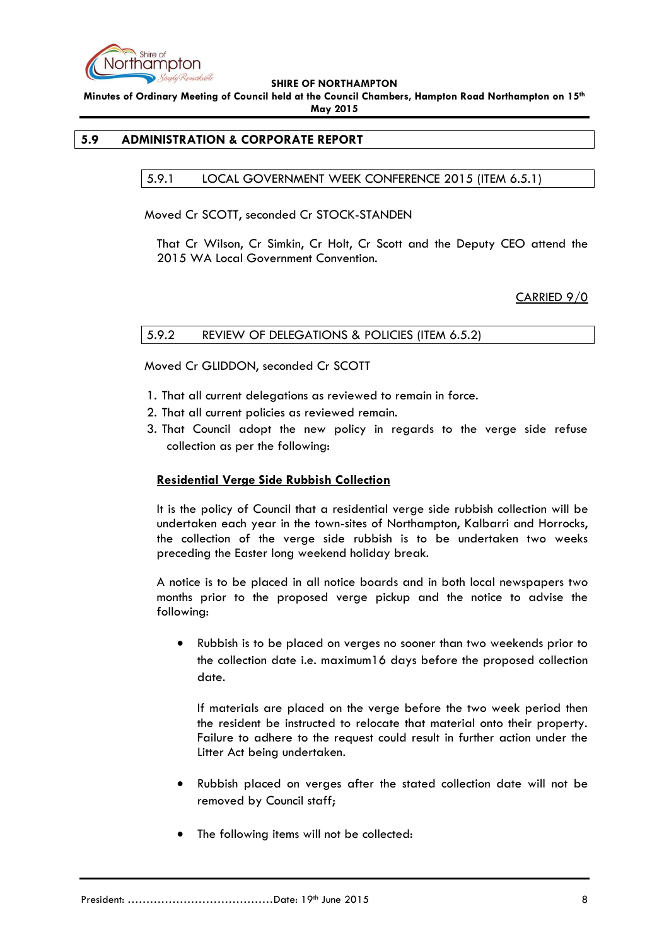

**Minutes of Ordinary Meeting of Council held at the Council Chambers, Hampton Road Northampton on 15th May 2015**

# <span id="page-7-1"></span><span id="page-7-0"></span>**5.9 ADMINISTRATION & CORPORATE REPORT**

5.9.1 LOCAL GOVERNMENT WEEK CONFERENCE 2015 (ITEM 6.5.1)

Moved Cr SCOTT, seconded Cr STOCK-STANDEN

That Cr Wilson, Cr Simkin, Cr Holt, Cr Scott and the Deputy CEO attend the 2015 WA Local Government Convention.

CARRIED 9/0

#### <span id="page-7-2"></span>5.9.2 REVIEW OF DELEGATIONS & POLICIES (ITEM 6.5.2)

Moved Cr GLIDDON, seconded Cr SCOTT

- 1. That all current delegations as reviewed to remain in force.
- 2. That all current policies as reviewed remain.
- 3. That Council adopt the new policy in regards to the verge side refuse collection as per the following:

## **Residential Verge Side Rubbish Collection**

It is the policy of Council that a residential verge side rubbish collection will be undertaken each year in the town-sites of Northampton, Kalbarri and Horrocks, the collection of the verge side rubbish is to be undertaken two weeks preceding the Easter long weekend holiday break.

A notice is to be placed in all notice boards and in both local newspapers two months prior to the proposed verge pickup and the notice to advise the following:

 Rubbish is to be placed on verges no sooner than two weekends prior to the collection date i.e. maximum16 days before the proposed collection date.

If materials are placed on the verge before the two week period then the resident be instructed to relocate that material onto their property. Failure to adhere to the request could result in further action under the Litter Act being undertaken.

- Rubbish placed on verges after the stated collection date will not be removed by Council staff;
- The following items will not be collected: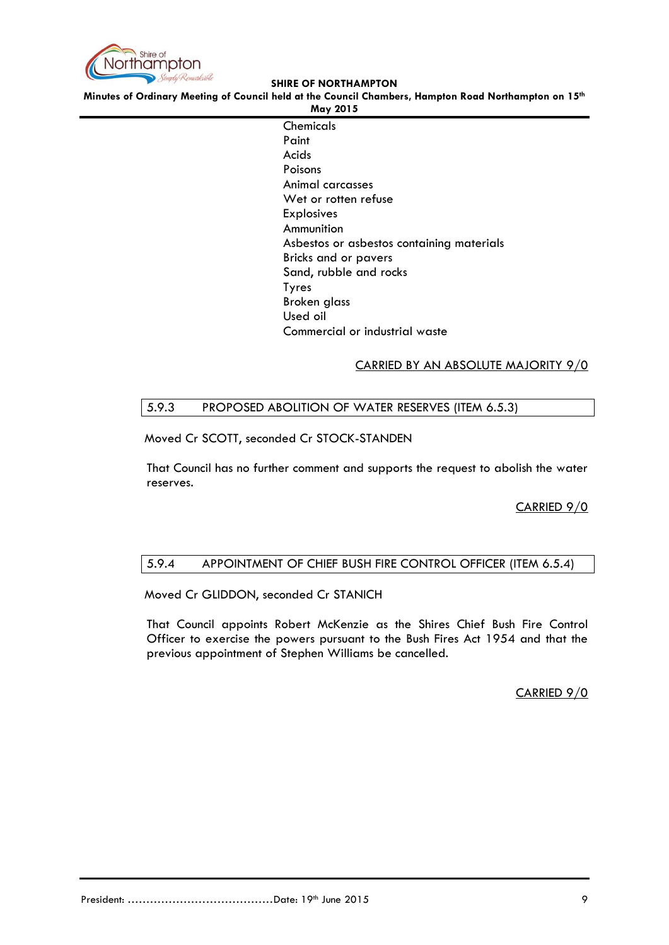

**Minutes of Ordinary Meeting of Council held at the Council Chambers, Hampton Road Northampton on 15th**

**May 2015 Chemicals** Paint Acids Poisons Animal carcasses Wet or rotten refuse Explosives Ammunition Asbestos or asbestos containing materials Bricks and or pavers Sand, rubble and rocks Tyres Broken glass Used oil Commercial or industrial waste

# CARRIED BY AN ABSOLUTE MAJORITY 9/0

# <span id="page-8-0"></span>5.9.3 PROPOSED ABOLITION OF WATER RESERVES (ITEM 6.5.3)

Moved Cr SCOTT, seconded Cr STOCK-STANDEN

That Council has no further comment and supports the request to abolish the water reserves.

CARRIED 9/0

# <span id="page-8-1"></span>5.9.4 APPOINTMENT OF CHIEF BUSH FIRE CONTROL OFFICER (ITEM 6.5.4)

Moved Cr GLIDDON, seconded Cr STANICH

That Council appoints Robert McKenzie as the Shires Chief Bush Fire Control Officer to exercise the powers pursuant to the Bush Fires Act 1954 and that the previous appointment of Stephen Williams be cancelled.

CARRIED 9/0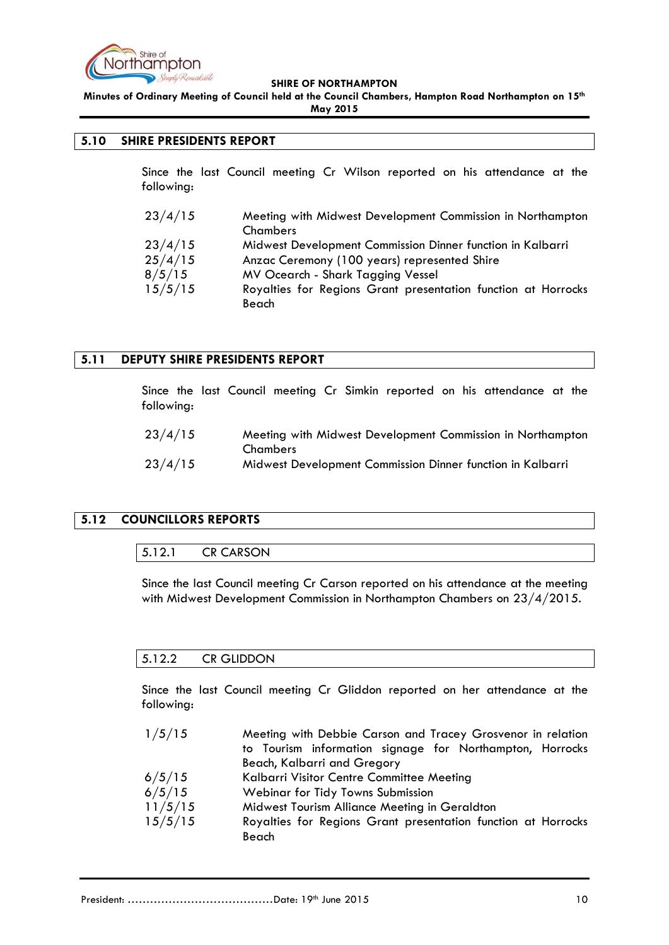

**Minutes of Ordinary Meeting of Council held at the Council Chambers, Hampton Road Northampton on 15th May 2015**

# <span id="page-9-0"></span>**5.10 SHIRE PRESIDENTS REPORT**

Since the last Council meeting Cr Wilson reported on his attendance at the following:

| 23/4/15 | Meeting with Midwest Development Commission in Northampton<br>Chambers |
|---------|------------------------------------------------------------------------|
| 23/4/15 | Midwest Development Commission Dinner function in Kalbarri             |
| 25/4/15 | Anzac Ceremony (100 years) represented Shire                           |
| 8/5/15  | MV Ocearch - Shark Tagging Vessel                                      |
| 15/5/15 | Royalties for Regions Grant presentation function at Horrocks          |
|         | Beach                                                                  |

# <span id="page-9-1"></span>**5.11 DEPUTY SHIRE PRESIDENTS REPORT**

Since the last Council meeting Cr Simkin reported on his attendance at the following:

| 23/4/15 | Meeting with Midwest Development Commission in Northampton |
|---------|------------------------------------------------------------|
|         | Chambers                                                   |
| 23/4/15 | Midwest Development Commission Dinner function in Kalbarri |

# <span id="page-9-3"></span><span id="page-9-2"></span>**5.12 COUNCILLORS REPORTS**

## 5.12.1 CR CARSON

Since the last Council meeting Cr Carson reported on his attendance at the meeting with Midwest Development Commission in Northampton Chambers on 23/4/2015.

## <span id="page-9-4"></span>5.12.2 CR GLIDDON

Since the last Council meeting Cr Gliddon reported on her attendance at the following:

- 1/5/15 Meeting with Debbie Carson and Tracey Grosvenor in relation to Tourism information signage for Northampton, Horrocks Beach, Kalbarri and Gregory 6/5/15 Kalbarri Visitor Centre Committee Meeting 6/5/15 Webinar for Tidy Towns Submission
- 11/5/15 Midwest Tourism Alliance Meeting in Geraldton
- 15/5/15 Royalties for Regions Grant presentation function at Horrocks Beach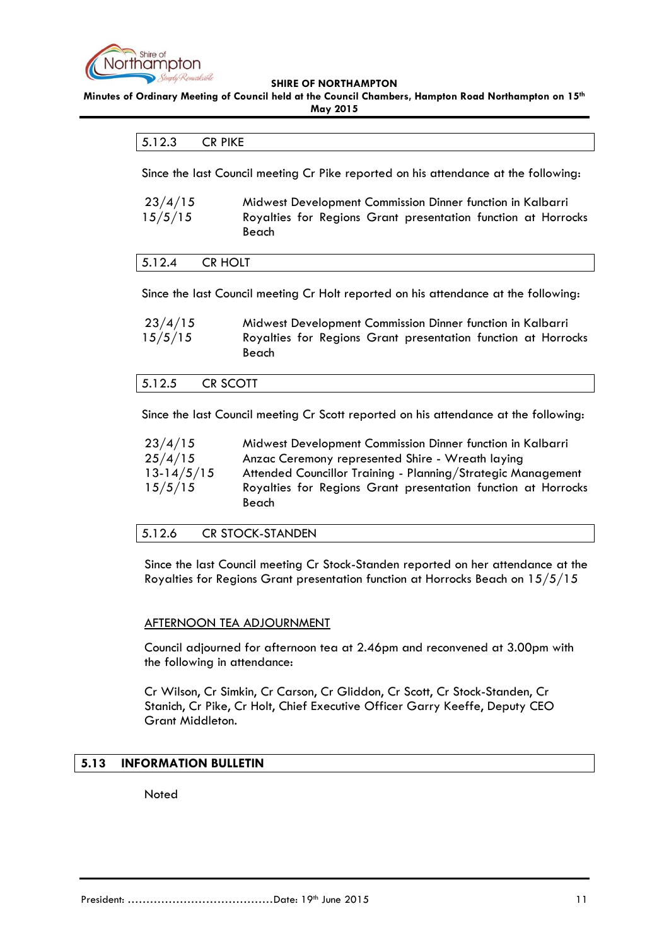

<span id="page-10-0"></span>**Minutes of Ordinary Meeting of Council held at the Council Chambers, Hampton Road Northampton on 15th**

**May 2015**

## 5.12.3 CR PIKE

Since the last Council meeting Cr Pike reported on his attendance at the following:

| 23/4/15 | Midwest Development Commission Dinner function in Kalbarri    |
|---------|---------------------------------------------------------------|
| 15/5/15 | Royalties for Regions Grant presentation function at Horrocks |
|         | Beach                                                         |

<span id="page-10-1"></span>

| CR HOLT<br>1 <b>r</b> 1 <b>n</b><br>3.12.4 |
|--------------------------------------------|
|--------------------------------------------|

Since the last Council meeting Cr Holt reported on his attendance at the following:

| 23/4/15 | Midwest Development Commission Dinner function in Kalbarri             |
|---------|------------------------------------------------------------------------|
| 15/5/15 | Royalties for Regions Grant presentation function at Horrocks<br>Beach |

# <span id="page-10-2"></span>5.12.5 CR SCOTT

Since the last Council meeting Cr Scott reported on his attendance at the following:

| 23/4/15      | Midwest Development Commission Dinner function in Kalbarri             |
|--------------|------------------------------------------------------------------------|
| 25/4/15      | Anzac Ceremony represented Shire - Wreath laying                       |
| $13-14/5/15$ | Attended Councillor Training - Planning/Strategic Management           |
| 15/5/15      | Royalties for Regions Grant presentation function at Horrocks<br>Beach |

# <span id="page-10-3"></span>5.12.6 CR STOCK-STANDEN

Since the last Council meeting Cr Stock-Standen reported on her attendance at the Royalties for Regions Grant presentation function at Horrocks Beach on 15/5/15

## AFTERNOON TEA ADJOURNMENT

Council adjourned for afternoon tea at 2.46pm and reconvened at 3.00pm with the following in attendance:

Cr Wilson, Cr Simkin, Cr Carson, Cr Gliddon, Cr Scott, Cr Stock-Standen, Cr Stanich, Cr Pike, Cr Holt, Chief Executive Officer Garry Keeffe, Deputy CEO Grant Middleton.

# <span id="page-10-4"></span>**5.13 INFORMATION BULLETIN**

Noted